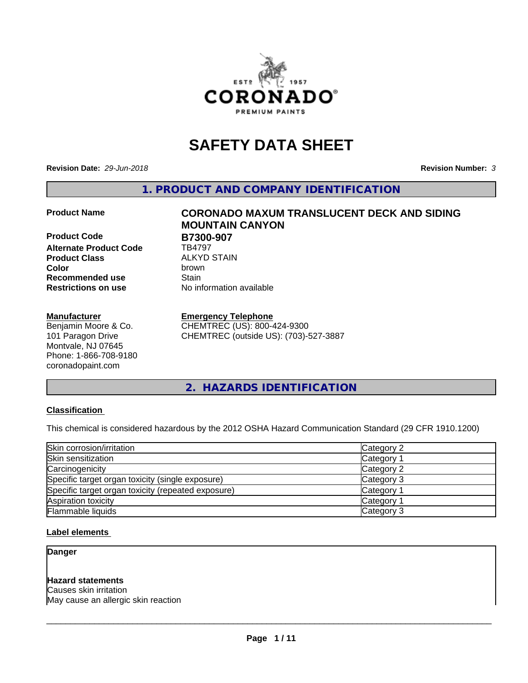

# **SAFETY DATA SHEET**

**Revision Date:** *29-Jun-2018* **Revision Number:** *3*

**1. PRODUCT AND COMPANY IDENTIFICATION**

**Product Code B7300-907**<br>Alternate Product Code **BA797 Alternate Product Code Product Class** ALKYD STAIN<br> **Color** brown **Recommended use Stain Restrictions on use** No information available

#### **Manufacturer**

Benjamin Moore & Co. 101 Paragon Drive Montvale, NJ 07645 Phone: 1-866-708-9180 coronadopaint.com

**Product Name CORONADO MAXUM TRANSLUCENT DECK AND SIDING MOUNTAIN CANYON Color** brown

#### **Emergency Telephone**

CHEMTREC (US): 800-424-9300 CHEMTREC (outside US): (703)-527-3887

**2. HAZARDS IDENTIFICATION**

### **Classification**

This chemical is considered hazardous by the 2012 OSHA Hazard Communication Standard (29 CFR 1910.1200)

| Skin corrosion/irritation                          | Category 2        |
|----------------------------------------------------|-------------------|
| Skin sensitization                                 | Category 1        |
| Carcinogenicity                                    | Category 2        |
| Specific target organ toxicity (single exposure)   | Category 3        |
| Specific target organ toxicity (repeated exposure) | Category 1        |
| Aspiration toxicity                                | <b>Category 1</b> |
| Flammable liquids                                  | Category 3        |

#### **Label elements**

**Danger**

#### **Hazard statements**

Causes skin irritation May cause an allergic skin reaction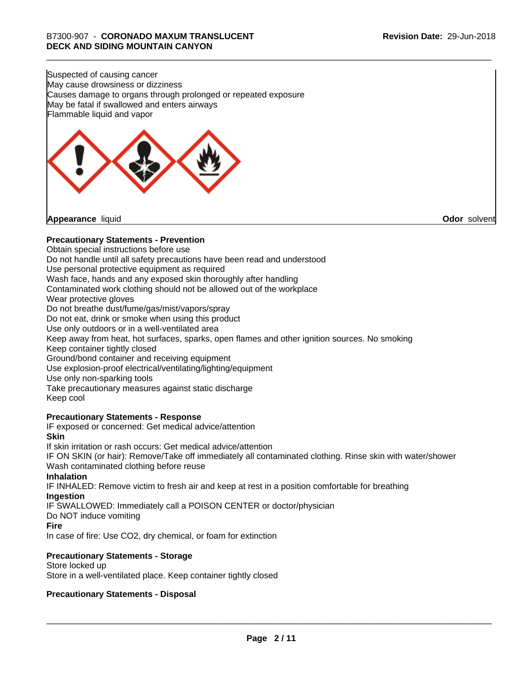Suspected of causing cancer May cause drowsiness or dizziness Causes damage to organs through prolonged or repeated exposure May be fatal if swallowed and enters airways Flammable liquid and vapor



**Appearance** liquid **Odor** solvent

# **Precautionary Statements - Prevention**

Obtain special instructions before use Do not handle until all safety precautions have been read and understood Use personal protective equipment as required Wash face, hands and any exposed skin thoroughly after handling Contaminated work clothing should not be allowed out of the workplace Wear protective gloves Do not breathe dust/fume/gas/mist/vapors/spray Do not eat, drink or smoke when using this product Use only outdoors or in a well-ventilated area Keep away from heat, hot surfaces, sparks, open flames and other ignition sources. No smoking Keep container tightly closed Ground/bond container and receiving equipment Use explosion-proof electrical/ventilating/lighting/equipment Use only non-sparking tools Take precautionary measures against static discharge Keep cool **Precautionary Statements - Response** IF exposed or concerned: Get medical advice/attention **Skin** If skin irritation or rash occurs: Get medical advice/attention

IF ON SKIN (or hair): Remove/Take off immediately all contaminated clothing. Rinse skin with water/shower Wash contaminated clothing before reuse

### **Inhalation**

IF INHALED: Remove victim to fresh air and keep at rest in a position comfortable for breathing **Ingestion**

IF SWALLOWED: Immediately call a POISON CENTER or doctor/physician

Do NOT induce vomiting

### **Fire**

In case of fire: Use CO2, dry chemical, or foam for extinction

### **Precautionary Statements - Storage**

Store locked up Store in a well-ventilated place. Keep container tightly closed

### **Precautionary Statements - Disposal**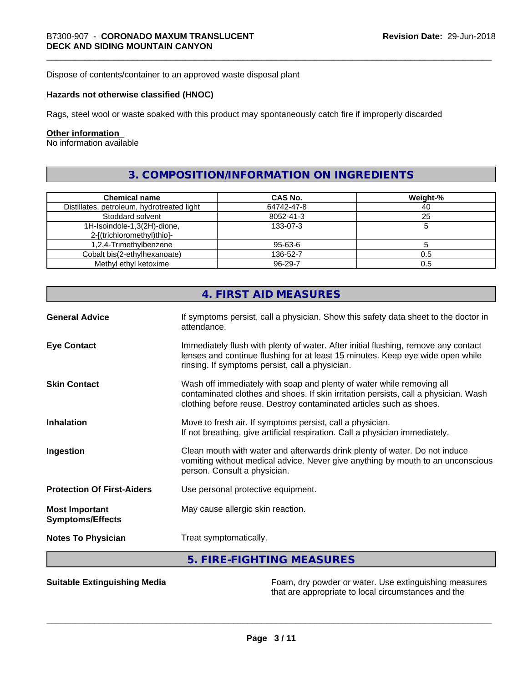Dispose of contents/container to an approved waste disposal plant

#### **Hazards not otherwise classified (HNOC)**

Rags, steel wool or waste soaked with this product may spontaneously catch fire if improperly discarded

#### **Other information**

No information available

# **3. COMPOSITION/INFORMATION ON INGREDIENTS**

| <b>Chemical name</b>                       | CAS No.       | Weight-% |
|--------------------------------------------|---------------|----------|
| Distillates, petroleum, hydrotreated light | 64742-47-8    | 40       |
| Stoddard solvent                           | 8052-41-3     | 25       |
| 1H-Isoindole-1,3(2H)-dione,                | 133-07-3      |          |
| 2-[(trichloromethyl)thio]-                 |               |          |
| 1,2,4-Trimethylbenzene                     | 95-63-6       |          |
| Cobalt bis(2-ethylhexanoate)               | 136-52-7      | 0.5      |
| Methyl ethyl ketoxime                      | $96 - 29 - 7$ | 0.5      |

|                                                  | 4. FIRST AID MEASURES                                                                                                                                                                                                               |
|--------------------------------------------------|-------------------------------------------------------------------------------------------------------------------------------------------------------------------------------------------------------------------------------------|
| <b>General Advice</b>                            | If symptoms persist, call a physician. Show this safety data sheet to the doctor in<br>attendance.                                                                                                                                  |
| <b>Eye Contact</b>                               | Immediately flush with plenty of water. After initial flushing, remove any contact<br>lenses and continue flushing for at least 15 minutes. Keep eye wide open while<br>rinsing. If symptoms persist, call a physician.             |
| <b>Skin Contact</b>                              | Wash off immediately with soap and plenty of water while removing all<br>contaminated clothes and shoes. If skin irritation persists, call a physician. Wash<br>clothing before reuse. Destroy contaminated articles such as shoes. |
| <b>Inhalation</b>                                | Move to fresh air. If symptoms persist, call a physician.<br>If not breathing, give artificial respiration. Call a physician immediately.                                                                                           |
| Ingestion                                        | Clean mouth with water and afterwards drink plenty of water. Do not induce<br>vomiting without medical advice. Never give anything by mouth to an unconscious<br>person. Consult a physician.                                       |
| <b>Protection Of First-Aiders</b>                | Use personal protective equipment.                                                                                                                                                                                                  |
| <b>Most Important</b><br><b>Symptoms/Effects</b> | May cause allergic skin reaction.                                                                                                                                                                                                   |
| <b>Notes To Physician</b>                        | Treat symptomatically.                                                                                                                                                                                                              |
|                                                  | 5. FIRE-FIGHTING MEASURES                                                                                                                                                                                                           |

**Suitable Extinguishing Media** Foam, dry powder or water. Use extinguishing measures that are appropriate to local circumstances and the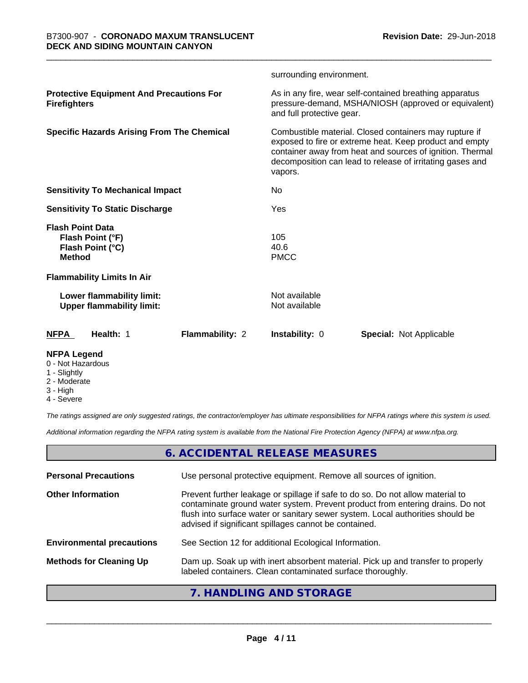|                                                                                  |                 | surrounding environment.       |                                                                                                                                                                                                                                             |
|----------------------------------------------------------------------------------|-----------------|--------------------------------|---------------------------------------------------------------------------------------------------------------------------------------------------------------------------------------------------------------------------------------------|
| <b>Protective Equipment And Precautions For</b><br><b>Firefighters</b>           |                 | and full protective gear.      | As in any fire, wear self-contained breathing apparatus<br>pressure-demand, MSHA/NIOSH (approved or equivalent)                                                                                                                             |
| <b>Specific Hazards Arising From The Chemical</b>                                |                 | vapors.                        | Combustible material. Closed containers may rupture if<br>exposed to fire or extreme heat. Keep product and empty<br>container away from heat and sources of ignition. Thermal<br>decomposition can lead to release of irritating gases and |
| <b>Sensitivity To Mechanical Impact</b>                                          |                 | No.                            |                                                                                                                                                                                                                                             |
| <b>Sensitivity To Static Discharge</b>                                           |                 | Yes                            |                                                                                                                                                                                                                                             |
| <b>Flash Point Data</b><br>Flash Point (°F)<br>Flash Point (°C)<br><b>Method</b> |                 | 105<br>40.6<br><b>PMCC</b>     |                                                                                                                                                                                                                                             |
| <b>Flammability Limits In Air</b>                                                |                 |                                |                                                                                                                                                                                                                                             |
| Lower flammability limit:<br><b>Upper flammability limit:</b>                    |                 | Not available<br>Not available |                                                                                                                                                                                                                                             |
| Health: 1<br><b>NFPA</b>                                                         | Flammability: 2 | Instability: 0                 | <b>Special: Not Applicable</b>                                                                                                                                                                                                              |
| <b>NFPA Legend</b>                                                               |                 |                                |                                                                                                                                                                                                                                             |

- 0 Not Hazardous
- 1 Slightly
- 2 Moderate
- 3 High
- 4 Severe

*The ratings assigned are only suggested ratings, the contractor/employer has ultimate responsibilities for NFPA ratings where this system is used.*

*Additional information regarding the NFPA rating system is available from the National Fire Protection Agency (NFPA) at www.nfpa.org.*

# **6. ACCIDENTAL RELEASE MEASURES**

| <b>Personal Precautions</b>      | Use personal protective equipment. Remove all sources of ignition.                                                                                                                                                                                                                                         |
|----------------------------------|------------------------------------------------------------------------------------------------------------------------------------------------------------------------------------------------------------------------------------------------------------------------------------------------------------|
| <b>Other Information</b>         | Prevent further leakage or spillage if safe to do so. Do not allow material to<br>contaminate ground water system. Prevent product from entering drains. Do not<br>flush into surface water or sanitary sewer system. Local authorities should be<br>advised if significant spillages cannot be contained. |
| <b>Environmental precautions</b> | See Section 12 for additional Ecological Information.                                                                                                                                                                                                                                                      |
| <b>Methods for Cleaning Up</b>   | Dam up. Soak up with inert absorbent material. Pick up and transfer to properly<br>labeled containers. Clean contaminated surface thoroughly.                                                                                                                                                              |
|                                  |                                                                                                                                                                                                                                                                                                            |

# **7. HANDLING AND STORAGE**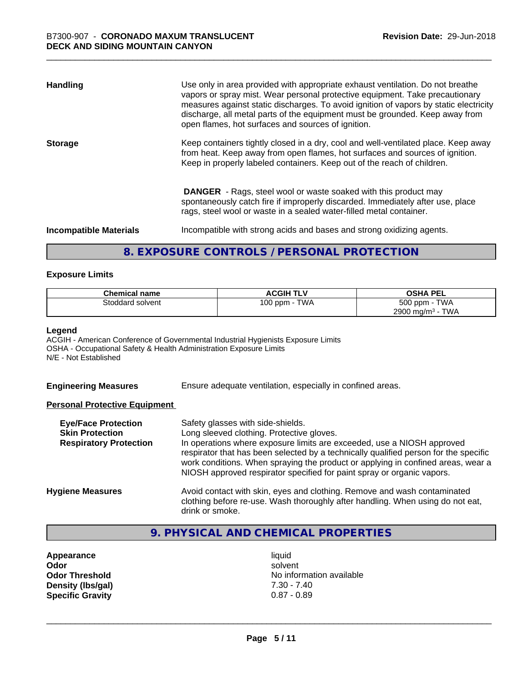| <b>Handling</b>               | Use only in area provided with appropriate exhaust ventilation. Do not breathe<br>vapors or spray mist. Wear personal protective equipment. Take precautionary<br>measures against static discharges. To avoid ignition of vapors by static electricity<br>discharge, all metal parts of the equipment must be grounded. Keep away from<br>open flames, hot surfaces and sources of ignition. |
|-------------------------------|-----------------------------------------------------------------------------------------------------------------------------------------------------------------------------------------------------------------------------------------------------------------------------------------------------------------------------------------------------------------------------------------------|
| <b>Storage</b>                | Keep containers tightly closed in a dry, cool and well-ventilated place. Keep away<br>from heat. Keep away from open flames, hot surfaces and sources of ignition.<br>Keep in properly labeled containers. Keep out of the reach of children.                                                                                                                                                 |
|                               | <b>DANGER</b> - Rags, steel wool or waste soaked with this product may<br>spontaneously catch fire if improperly discarded. Immediately after use, place<br>rags, steel wool or waste in a sealed water-filled metal container.                                                                                                                                                               |
| <b>Incompatible Materials</b> | Incompatible with strong acids and bases and strong oxidizing agents.                                                                                                                                                                                                                                                                                                                         |

# **8. EXPOSURE CONTROLS / PERSONAL PROTECTION**

#### **Exposure Limits**

| <b>Chemical name</b> | <b>ACGIH TLV</b> | <b>OSHA PEL</b>                        |
|----------------------|------------------|----------------------------------------|
| Stoddard solvent     | TWA<br>100 ppm   | 500 ppm -<br><b>TWA</b>                |
|                      |                  | <b>TWA</b><br>2900 mg/m <sup>3</sup> - |

#### **Legend**

ACGIH - American Conference of Governmental Industrial Hygienists Exposure Limits OSHA - Occupational Safety & Health Administration Exposure Limits N/E - Not Established

**Engineering Measures** Ensure adequate ventilation, especially in confined areas.

#### **Personal Protective Equipment**

| <b>Eye/Face Protection</b><br><b>Skin Protection</b><br><b>Respiratory Protection</b> | Safety glasses with side-shields.<br>Long sleeved clothing. Protective gloves.<br>In operations where exposure limits are exceeded, use a NIOSH approved<br>respirator that has been selected by a technically qualified person for the specific<br>work conditions. When spraying the product or applying in confined areas, wear a<br>NIOSH approved respirator specified for paint spray or organic vapors. |
|---------------------------------------------------------------------------------------|----------------------------------------------------------------------------------------------------------------------------------------------------------------------------------------------------------------------------------------------------------------------------------------------------------------------------------------------------------------------------------------------------------------|
| <b>Hygiene Measures</b>                                                               | Avoid contact with skin, eyes and clothing. Remove and wash contaminated<br>clothing before re-use. Wash thoroughly after handling. When using do not eat,<br>drink or smoke.                                                                                                                                                                                                                                  |

# **9. PHYSICAL AND CHEMICAL PROPERTIES**

**Appearance** liquid<br> **Appearance** liquid<br> **Odor** solver **Density (lbs/gal)** 7.30 - 7.40<br> **Specific Gravity** 0.87 - 0.89 **Specific Gravity** 

**Odor** solvent **Odor Threshold** No information available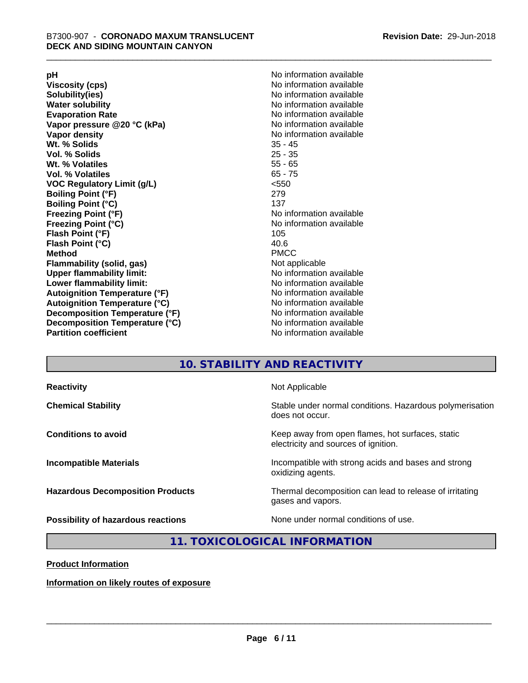**Viscosity (cps)** <br> **Viscosity (cps)** No information available<br>
No information available<br>
No information available **Water solubility**<br> **Evaporation Rate**<br> **Evaporation Rate**<br> **Evaporation Rate Vapor** pressure @20 °C (kPa) **Vapor density No information available Wt. % Solids** 35 - 45 **Vol. % Solids Wt. % Volatiles** 55 - 65 **Vol. % Volatiles** 65 - 75 **VOC Regulatory Limit (g/L)** <550 **Boiling Point (°F)** 279 **Boiling Point (°C)**<br>Freezing Point (°F) **Freezing Point (°C)** No information available **Flash Point (°F)** 105 **Flash Point (°C)** 40.6 **Method** PMCC **Flammability (solid, gas)** Not applicable **Upper flammability limit:** No information available **Lower flammability limit:** No information available **Autoignition Temperature (°F)** No information available **Autoignition Temperature (°C)** No information available **Decomposition Temperature (°F)** No information available **Decomposition Temperature (°C)** No information available<br> **Partition coefficient Partition available** 

**pH**<br>
Viscosity (cps) The Contract of the Contract of No information available<br>
No information available **Solubility(ies)** No information available No information available<br>No information available **No information available No information available** 

# **10. STABILITY AND REACTIVITY**

| <b>Reactivity</b>                       | Not Applicable                                                                           |
|-----------------------------------------|------------------------------------------------------------------------------------------|
| <b>Chemical Stability</b>               | Stable under normal conditions. Hazardous polymerisation<br>does not occur.              |
| <b>Conditions to avoid</b>              | Keep away from open flames, hot surfaces, static<br>electricity and sources of ignition. |
| <b>Incompatible Materials</b>           | Incompatible with strong acids and bases and strong<br>oxidizing agents.                 |
| <b>Hazardous Decomposition Products</b> | Thermal decomposition can lead to release of irritating<br>gases and vapors.             |
| Possibility of hazardous reactions      | None under normal conditions of use.                                                     |

# **11. TOXICOLOGICAL INFORMATION**

**Product Information**

**Information on likely routes of exposure**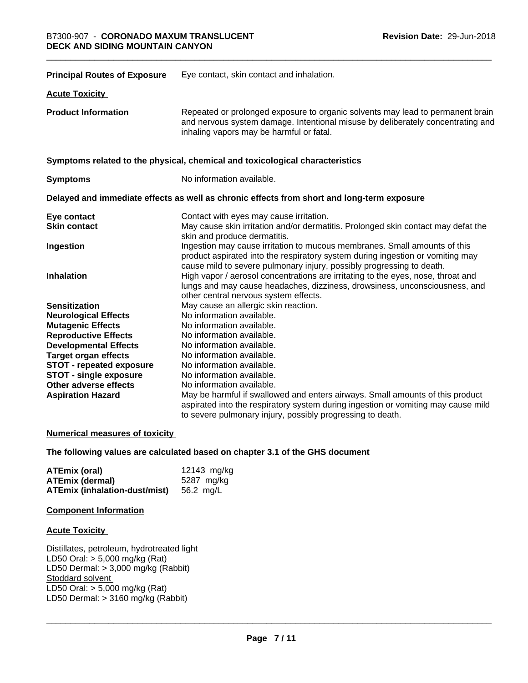| <b>Principal Routes of Exposure</b> | Eye contact, skin contact and inhalation.                                                                                                                                                                                            |
|-------------------------------------|--------------------------------------------------------------------------------------------------------------------------------------------------------------------------------------------------------------------------------------|
| <b>Acute Toxicity</b>               |                                                                                                                                                                                                                                      |
| <b>Product Information</b>          | Repeated or prolonged exposure to organic solvents may lead to permanent brain<br>and nervous system damage. Intentional misuse by deliberately concentrating and<br>inhaling vapors may be harmful or fatal.                        |
|                                     | Symptoms related to the physical, chemical and toxicological characteristics                                                                                                                                                         |
| <b>Symptoms</b>                     | No information available.                                                                                                                                                                                                            |
|                                     | Delayed and immediate effects as well as chronic effects from short and long-term exposure                                                                                                                                           |
| Eye contact                         | Contact with eyes may cause irritation.                                                                                                                                                                                              |
| <b>Skin contact</b>                 | May cause skin irritation and/or dermatitis. Prolonged skin contact may defat the<br>skin and produce dermatitis.                                                                                                                    |
| Ingestion                           | Ingestion may cause irritation to mucous membranes. Small amounts of this<br>product aspirated into the respiratory system during ingestion or vomiting may<br>cause mild to severe pulmonary injury, possibly progressing to death. |
| <b>Inhalation</b>                   | High vapor / aerosol concentrations are irritating to the eyes, nose, throat and<br>lungs and may cause headaches, dizziness, drowsiness, unconsciousness, and<br>other central nervous system effects.                              |
| <b>Sensitization</b>                | May cause an allergic skin reaction.                                                                                                                                                                                                 |
| <b>Neurological Effects</b>         | No information available.                                                                                                                                                                                                            |
| <b>Mutagenic Effects</b>            | No information available.                                                                                                                                                                                                            |
| <b>Reproductive Effects</b>         | No information available.                                                                                                                                                                                                            |
| <b>Developmental Effects</b>        | No information available.                                                                                                                                                                                                            |
| <b>Target organ effects</b>         | No information available.                                                                                                                                                                                                            |
| <b>STOT - repeated exposure</b>     | No information available.                                                                                                                                                                                                            |
| <b>STOT - single exposure</b>       | No information available.                                                                                                                                                                                                            |
| Other adverse effects               | No information available.                                                                                                                                                                                                            |
| <b>Aspiration Hazard</b>            | May be harmful if swallowed and enters airways. Small amounts of this product                                                                                                                                                        |
|                                     | aspirated into the respiratory system during ingestion or vomiting may cause mild<br>to severe pulmonary injury, possibly progressing to death.                                                                                      |

#### **Numerical measures of toxicity**

#### **The following values are calculated based on chapter 3.1 of the GHS document**

| ATEmix (oral)                           | 12143 mg/kg |
|-----------------------------------------|-------------|
| <b>ATEmix (dermal)</b>                  | 5287 mg/ka  |
| ATEmix (inhalation-dust/mist) 56.2 mg/L |             |

#### **Component Information**

#### **Acute Toxicity**

Distillates, petroleum, hydrotreated light LD50 Oral: > 5,000 mg/kg (Rat) LD50 Dermal: > 3,000 mg/kg (Rabbit) Stoddard solvent LD50 Oral: > 5,000 mg/kg (Rat) LD50 Dermal:  $> 3160$  mg/kg (Rabbit)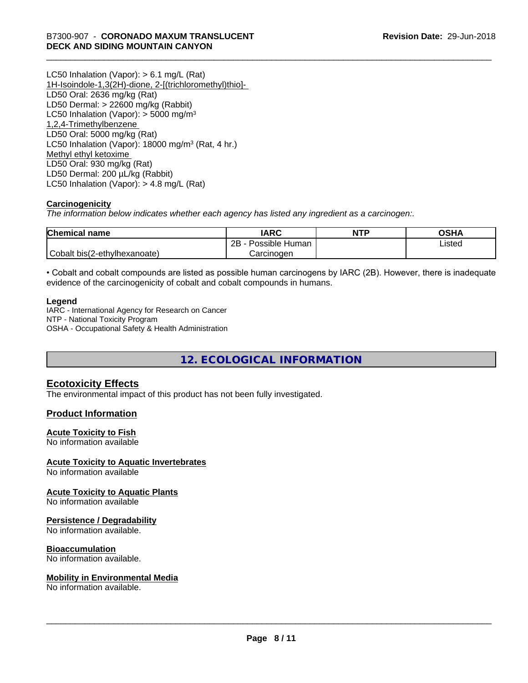LC50 Inhalation (Vapor): > 6.1 mg/L (Rat) 1H-Isoindole-1,3(2H)-dione, 2-[(trichloromethyl)thio]- LD50 Oral: 2636 mg/kg (Rat) LD50 Dermal: > 22600 mg/kg (Rabbit) LC50 Inhalation (Vapor):  $>$  5000 mg/m<sup>3</sup> 1,2,4-Trimethylbenzene LD50 Oral: 5000 mg/kg (Rat) LC50 Inhalation (Vapor): 18000 mg/m<sup>3</sup> (Rat, 4 hr.) Methyl ethyl ketoxime LD50 Oral: 930 mg/kg (Rat) LD50 Dermal: 200 µL/kg (Rabbit) LC50 Inhalation (Vapor): > 4.8 mg/L (Rat)

### **Carcinogenicity**

*The information below indicateswhether each agency has listed any ingredient as a carcinogen:.*

| <b>Chemical name</b>         | <b>IARC</b>               | <b>NTP</b> | OSHA   |
|------------------------------|---------------------------|------------|--------|
|                              | .<br>2B<br>Possible Human |            | ∟isted |
| Cobalt bis(2-ethylhexanoate) | Carcinoɑen                |            |        |

• Cobalt and cobalt compounds are listed as possible human carcinogens by IARC (2B). However, there is inadequate evidence of the carcinogenicity of cobalt and cobalt compounds in humans.

#### **Legend**

IARC - International Agency for Research on Cancer NTP - National Toxicity Program OSHA - Occupational Safety & Health Administration

**12. ECOLOGICAL INFORMATION**

# **Ecotoxicity Effects**

The environmental impact of this product has not been fully investigated.

### **Product Information**

### **Acute Toxicity to Fish**

No information available

#### **Acute Toxicity to Aquatic Invertebrates**

No information available

#### **Acute Toxicity to Aquatic Plants**

No information available

#### **Persistence / Degradability**

No information available.

#### **Bioaccumulation**

No information available.

#### **Mobility in Environmental Media**

No information available.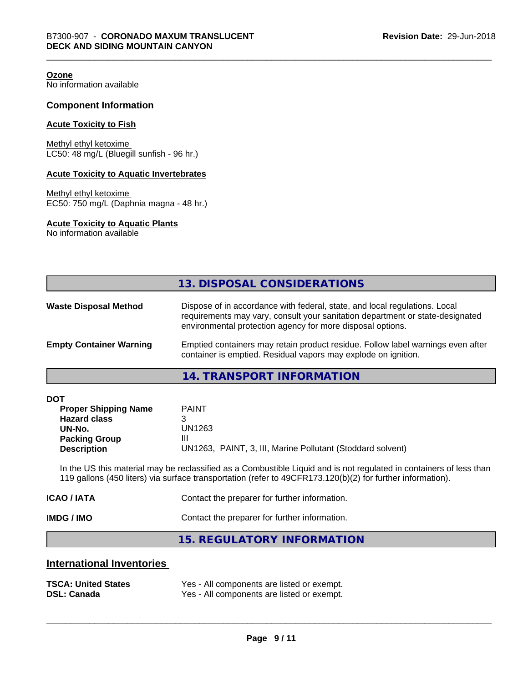**Ozone**

No information available

#### **Component Information**

#### **Acute Toxicity to Fish**

Methyl ethyl ketoxime LC50: 48 mg/L (Bluegill sunfish - 96 hr.)

#### **Acute Toxicity to Aquatic Invertebrates**

Methyl ethyl ketoxime EC50: 750 mg/L (Daphnia magna - 48 hr.)

#### **Acute Toxicity to Aquatic Plants**

No information available

|                                | 13. DISPOSAL CONSIDERATIONS                                                                                                                                                                                               |
|--------------------------------|---------------------------------------------------------------------------------------------------------------------------------------------------------------------------------------------------------------------------|
| <b>Waste Disposal Method</b>   | Dispose of in accordance with federal, state, and local regulations. Local<br>requirements may vary, consult your sanitation department or state-designated<br>environmental protection agency for more disposal options. |
| <b>Empty Container Warning</b> | Emptied containers may retain product residue. Follow label warnings even after<br>container is emptied. Residual vapors may explode on ignition.                                                                         |

#### **14. TRANSPORT INFORMATION**

| <b>DOT</b> |  |
|------------|--|
|------------|--|

| <b>Proper Shipping Name</b> | <b>PAINT</b>                                               |
|-----------------------------|------------------------------------------------------------|
| <b>Hazard class</b>         |                                                            |
| UN-No.                      | UN1263                                                     |
| <b>Packing Group</b>        | Ш                                                          |
| <b>Description</b>          | UN1263, PAINT, 3, III, Marine Pollutant (Stoddard solvent) |

In the US this material may be reclassified as a Combustible Liquid and is not regulated in containers of less than 119 gallons (450 liters) via surface transportation (refer to 49CFR173.120(b)(2) for further information).

| <b>IMDG / IMO</b> | Contact the preparer for further information. |
|-------------------|-----------------------------------------------|
| ICAO / IATA       | Contact the preparer for further information. |

**15. REGULATORY INFORMATION**

# **International Inventories**

| <b>TSCA: United States</b> | Yes - All components are listed or exempt. |
|----------------------------|--------------------------------------------|
| <b>DSL: Canada</b>         | Yes - All components are listed or exempt. |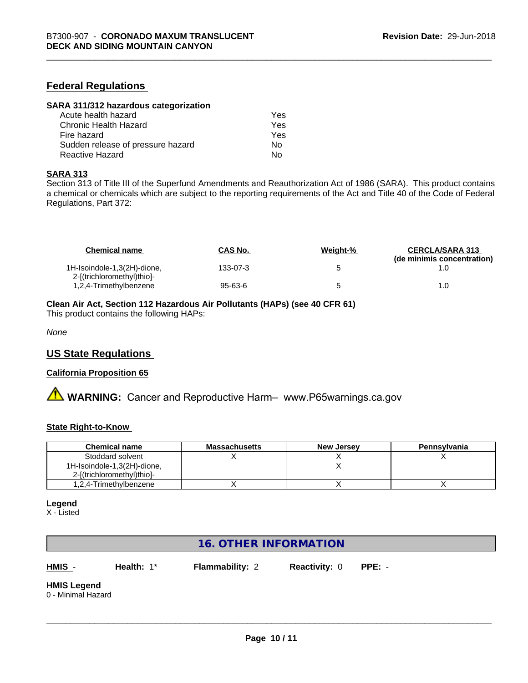# **Federal Regulations**

| SARA 311/312 hazardous categorization |     |  |
|---------------------------------------|-----|--|
| Acute health hazard                   | Yes |  |
| Chronic Health Hazard                 | Yes |  |
| Fire hazard                           | Yes |  |
| Sudden release of pressure hazard     | Nο  |  |
| Reactive Hazard                       | No  |  |

#### **SARA 313**

Section 313 of Title III of the Superfund Amendments and Reauthorization Act of 1986 (SARA). This product contains a chemical or chemicals which are subject to the reporting requirements of the Act and Title 40 of the Code of Federal Regulations, Part 372:

| <b>Chemical name</b>                                      | <b>CAS No.</b> | Weight-% | <b>CERCLA/SARA 313</b><br>(de minimis concentration) |
|-----------------------------------------------------------|----------------|----------|------------------------------------------------------|
| 1H-Isoindole-1,3(2H)-dione,<br>2-[(trichloromethyl)thio]- | 133-07-3       |          |                                                      |
| 1,2,4-Trimethylbenzene                                    | 95-63-6        |          | 1.0                                                  |

### **Clean Air Act,Section 112 Hazardous Air Pollutants (HAPs) (see 40 CFR 61)**

This product contains the following HAPs:

*None*

### **US State Regulations**

#### **California Proposition 65**

**A** WARNING: Cancer and Reproductive Harm– www.P65warnings.ca.gov

#### **State Right-to-Know**

| <b>Chemical name</b>        | <b>Massachusetts</b> | <b>New Jersey</b> | Pennsylvania |
|-----------------------------|----------------------|-------------------|--------------|
| Stoddard solvent            |                      |                   |              |
| 1H-Isoindole-1,3(2H)-dione, |                      |                   |              |
| 2-[(trichloromethyl)thio]-  |                      |                   |              |
| 1,2,4-Trimethylbenzene      |                      |                   |              |

#### **Legend**

X - Listed

# **16. OTHER INFORMATION**

**HMIS** - **Health:** 1\* **Flammability:** 2 **Reactivity:** 0 **PPE:** -

 $\overline{\phantom{a}}$  ,  $\overline{\phantom{a}}$  ,  $\overline{\phantom{a}}$  ,  $\overline{\phantom{a}}$  ,  $\overline{\phantom{a}}$  ,  $\overline{\phantom{a}}$  ,  $\overline{\phantom{a}}$  ,  $\overline{\phantom{a}}$  ,  $\overline{\phantom{a}}$  ,  $\overline{\phantom{a}}$  ,  $\overline{\phantom{a}}$  ,  $\overline{\phantom{a}}$  ,  $\overline{\phantom{a}}$  ,  $\overline{\phantom{a}}$  ,  $\overline{\phantom{a}}$  ,  $\overline{\phantom{a}}$ 

**HMIS Legend** 0 - Minimal Hazard